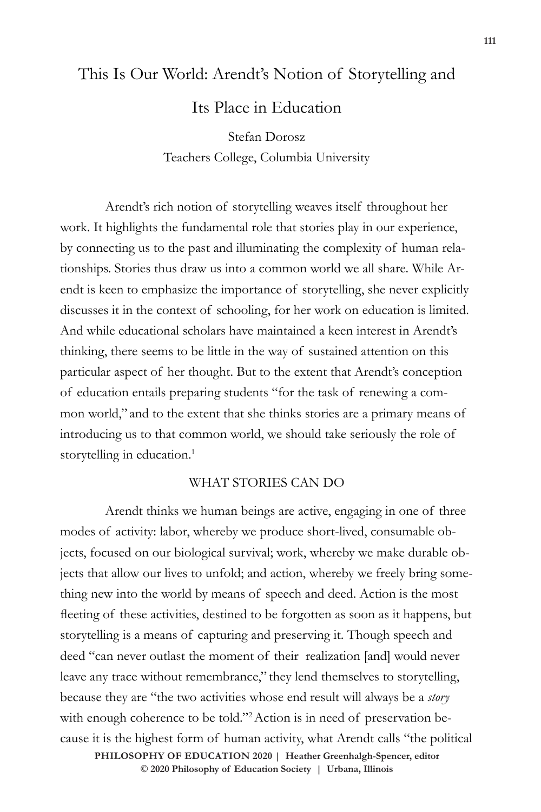# This Is Our World: Arendt's Notion of Storytelling and Its Place in Education

Stefan Dorosz Teachers College, Columbia University

Arendt's rich notion of storytelling weaves itself throughout her work. It highlights the fundamental role that stories play in our experience, by connecting us to the past and illuminating the complexity of human relationships. Stories thus draw us into a common world we all share. While Arendt is keen to emphasize the importance of storytelling, she never explicitly discusses it in the context of schooling, for her work on education is limited. And while educational scholars have maintained a keen interest in Arendt's thinking, there seems to be little in the way of sustained attention on this particular aspect of her thought. But to the extent that Arendt's conception of education entails preparing students "for the task of renewing a common world," and to the extent that she thinks stories are a primary means of introducing us to that common world, we should take seriously the role of storytelling in education.<sup>1</sup>

## WHAT STORIES CAN DO

Arendt thinks we human beings are active, engaging in one of three modes of activity: labor, whereby we produce short-lived, consumable objects, focused on our biological survival; work, whereby we make durable objects that allow our lives to unfold; and action, whereby we freely bring something new into the world by means of speech and deed. Action is the most fleeting of these activities, destined to be forgotten as soon as it happens, but storytelling is a means of capturing and preserving it. Though speech and deed "can never outlast the moment of their realization [and] would never leave any trace without remembrance," they lend themselves to storytelling, because they are "the two activities whose end result will always be a *story*  with enough coherence to be told."<sup>2</sup> Action is in need of preservation because it is the highest form of human activity, what Arendt calls "the political

 $\odot$  2020 Philosophy of Education Society | Urbana, Illinois **PHILOSOPHY OF EDUCATION 2020 | Heather Greenhalgh-Spencer, editor**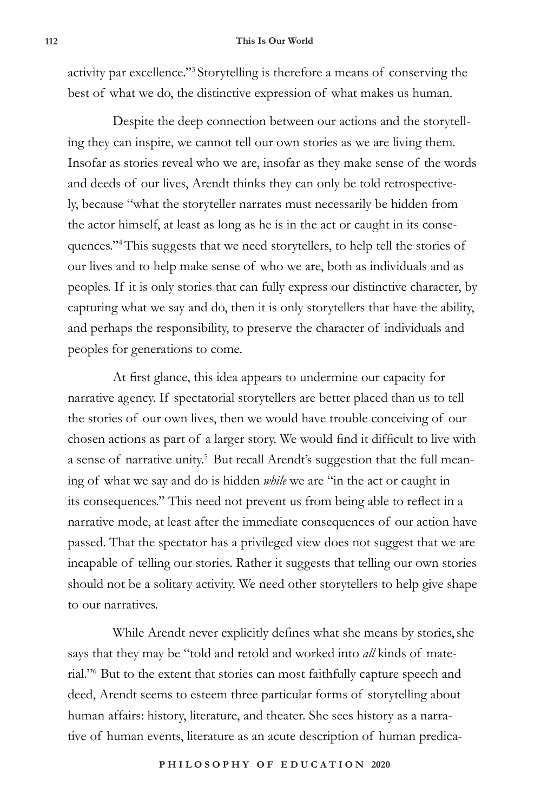activity par excellence."3 Storytelling is therefore a means of conserving the best of what we do, the distinctive expression of what makes us human.

Despite the deep connection between our actions and the storytelling they can inspire, we cannot tell our own stories as we are living them. Insofar as stories reveal who we are, insofar as they make sense of the words and deeds of our lives, Arendt thinks they can only be told retrospectively, because "what the storyteller narrates must necessarily be hidden from the actor himself, at least as long as he is in the act or caught in its consequences."4This suggests that we need storytellers, to help tell the stories of our lives and to help make sense of who we are, both as individuals and as peoples. If it is only stories that can fully express our distinctive character, by capturing what we say and do, then it is only storytellers that have the ability, and perhaps the responsibility, to preserve the character of individuals and peoples for generations to come.

At first glance, this idea appears to undermine our capacity for narrative agency. If spectatorial storytellers are better placed than us to tell the stories of our own lives, then we would have trouble conceiving of our chosen actions as part of a larger story. We would find it difficult to live with a sense of narrative unity.<sup>5</sup> But recall Arendt's suggestion that the full meaning of what we say and do is hidden *while* we are "in the act or caught in its consequences." This need not prevent us from being able to reflect in a narrative mode, at least after the immediate consequences of our action have passed. That the spectator has a privileged view does not suggest that we are incapable of telling our stories. Rather it suggests that telling our own stories should not be a solitary activity. We need other storytellers to help give shape to our narratives.

While Arendt never explicitly defines what she means by stories, she says that they may be "told and retold and worked into *all* kinds of material."6 But to the extent that stories can most faithfully capture speech and deed, Arendt seems to esteem three particular forms of storytelling about human affairs: history, literature, and theater. She sees history as a narrative of human events, literature as an acute description of human predica-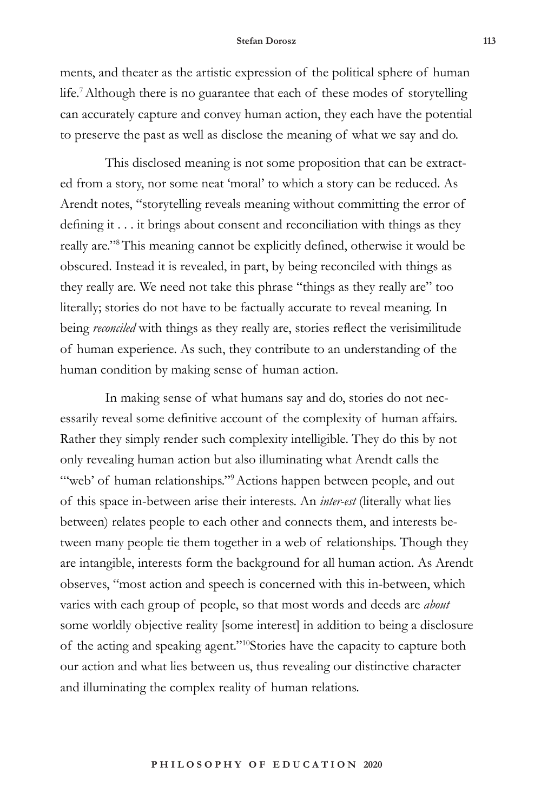#### **Stefan Dorosz 113**

ments, and theater as the artistic expression of the political sphere of human life.7Although there is no guarantee that each of these modes of storytelling can accurately capture and convey human action, they each have the potential to preserve the past as well as disclose the meaning of what we say and do.

This disclosed meaning is not some proposition that can be extracted from a story, nor some neat 'moral' to which a story can be reduced. As Arendt notes, "storytelling reveals meaning without committing the error of defining it . . . it brings about consent and reconciliation with things as they really are."8This meaning cannot be explicitly defined, otherwise it would be obscured. Instead it is revealed, in part, by being reconciled with things as they really are. We need not take this phrase "things as they really are" too literally; stories do not have to be factually accurate to reveal meaning. In being *reconciled* with things as they really are, stories reflect the verisimilitude of human experience. As such, they contribute to an understanding of the human condition by making sense of human action.

In making sense of what humans say and do, stories do not necessarily reveal some definitive account of the complexity of human affairs. Rather they simply render such complexity intelligible. They do this by not only revealing human action but also illuminating what Arendt calls the "web' of human relationships."<sup>9</sup> Actions happen between people, and out of this space in-between arise their interests. An *inter-est* (literally what lies between) relates people to each other and connects them, and interests between many people tie them together in a web of relationships. Though they are intangible, interests form the background for all human action. As Arendt observes, "most action and speech is concerned with this in-between, which varies with each group of people, so that most words and deeds are *about*  some worldly objective reality [some interest] in addition to being a disclosure of the acting and speaking agent."10Stories have the capacity to capture both our action and what lies between us, thus revealing our distinctive character and illuminating the complex reality of human relations.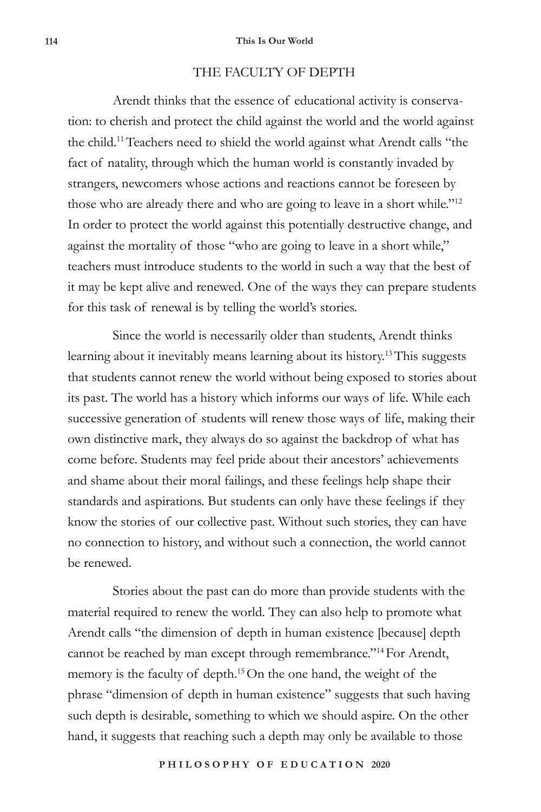## THE FACULTY OF DEPTH

Arendt thinks that the essence of educational activity is conservation: to cherish and protect the child against the world and the world against the child.11Teachers need to shield the world against what Arendt calls "the fact of natality, through which the human world is constantly invaded by strangers, newcomers whose actions and reactions cannot be foreseen by those who are already there and who are going to leave in a short while."<sup>12</sup> In order to protect the world against this potentially destructive change, and against the mortality of those "who are going to leave in a short while," teachers must introduce students to the world in such a way that the best of it may be kept alive and renewed. One of the ways they can prepare students for this task of renewal is by telling the world's stories.

Since the world is necessarily older than students, Arendt thinks learning about it inevitably means learning about its history.<sup>13</sup> This suggests that students cannot renew the world without being exposed to stories about its past. The world has a history which informs our ways of life. While each successive generation of students will renew those ways of life, making their own distinctive mark, they always do so against the backdrop of what has come before. Students may feel pride about their ancestors' achievements and shame about their moral failings, and these feelings help shape their standards and aspirations. But students can only have these feelings if they know the stories of our collective past. Without such stories, they can have no connection to history, and without such a connection, the world cannot be renewed.

Stories about the past can do more than provide students with the material required to renew the world. They can also help to promote what Arendt calls "the dimension of depth in human existence [because] depth cannot be reached by man except through remembrance."14 For Arendt, memory is the faculty of depth.<sup>15</sup> On the one hand, the weight of the phrase "dimension of depth in human existence" suggests that such having such depth is desirable, something to which we should aspire. On the other hand, it suggests that reaching such a depth may only be available to those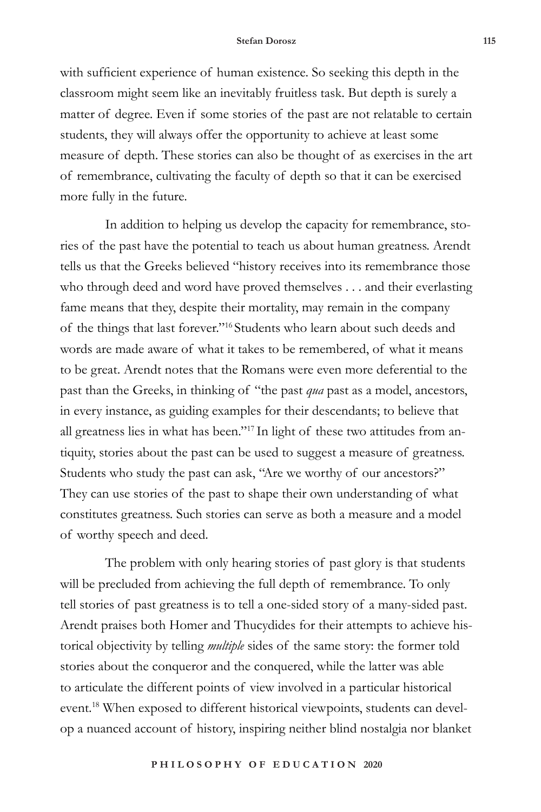#### **Stefan Dorosz 115**

with sufficient experience of human existence. So seeking this depth in the classroom might seem like an inevitably fruitless task. But depth is surely a matter of degree. Even if some stories of the past are not relatable to certain students, they will always offer the opportunity to achieve at least some measure of depth. These stories can also be thought of as exercises in the art of remembrance, cultivating the faculty of depth so that it can be exercised more fully in the future.

In addition to helping us develop the capacity for remembrance, stories of the past have the potential to teach us about human greatness. Arendt tells us that the Greeks believed "history receives into its remembrance those who through deed and word have proved themselves . . . and their everlasting fame means that they, despite their mortality, may remain in the company of the things that last forever."16 Students who learn about such deeds and words are made aware of what it takes to be remembered, of what it means to be great. Arendt notes that the Romans were even more deferential to the past than the Greeks, in thinking of "the past *qua* past as a model, ancestors, in every instance, as guiding examples for their descendants; to believe that all greatness lies in what has been."17 In light of these two attitudes from antiquity, stories about the past can be used to suggest a measure of greatness. Students who study the past can ask, "Are we worthy of our ancestors?" They can use stories of the past to shape their own understanding of what constitutes greatness. Such stories can serve as both a measure and a model of worthy speech and deed.

The problem with only hearing stories of past glory is that students will be precluded from achieving the full depth of remembrance. To only tell stories of past greatness is to tell a one-sided story of a many-sided past. Arendt praises both Homer and Thucydides for their attempts to achieve historical objectivity by telling *multiple* sides of the same story: the former told stories about the conqueror and the conquered, while the latter was able to articulate the different points of view involved in a particular historical event.<sup>18</sup> When exposed to different historical viewpoints, students can develop a nuanced account of history, inspiring neither blind nostalgia nor blanket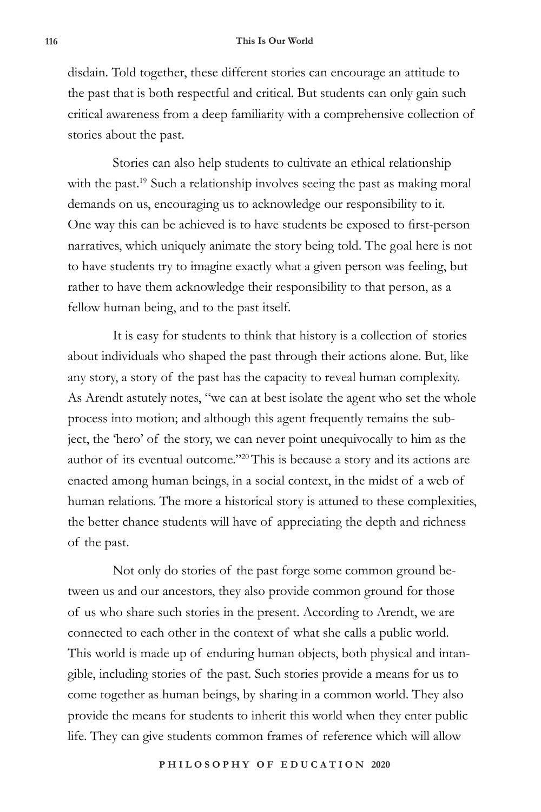disdain. Told together, these different stories can encourage an attitude to the past that is both respectful and critical. But students can only gain such critical awareness from a deep familiarity with a comprehensive collection of stories about the past.

Stories can also help students to cultivate an ethical relationship with the past.<sup>19</sup> Such a relationship involves seeing the past as making moral demands on us, encouraging us to acknowledge our responsibility to it. One way this can be achieved is to have students be exposed to first-person narratives, which uniquely animate the story being told. The goal here is not to have students try to imagine exactly what a given person was feeling, but rather to have them acknowledge their responsibility to that person, as a fellow human being, and to the past itself.

It is easy for students to think that history is a collection of stories about individuals who shaped the past through their actions alone. But, like any story, a story of the past has the capacity to reveal human complexity. As Arendt astutely notes, "we can at best isolate the agent who set the whole process into motion; and although this agent frequently remains the subject, the 'hero' of the story, we can never point unequivocally to him as the author of its eventual outcome."20This is because a story and its actions are enacted among human beings, in a social context, in the midst of a web of human relations. The more a historical story is attuned to these complexities, the better chance students will have of appreciating the depth and richness of the past.

Not only do stories of the past forge some common ground between us and our ancestors, they also provide common ground for those of us who share such stories in the present. According to Arendt, we are connected to each other in the context of what she calls a public world. This world is made up of enduring human objects, both physical and intangible, including stories of the past. Such stories provide a means for us to come together as human beings, by sharing in a common world. They also provide the means for students to inherit this world when they enter public life. They can give students common frames of reference which will allow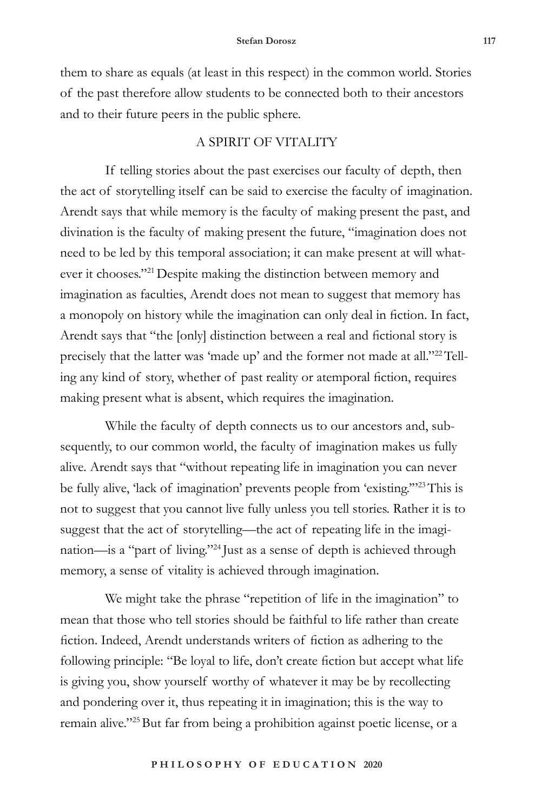them to share as equals (at least in this respect) in the common world. Stories of the past therefore allow students to be connected both to their ancestors and to their future peers in the public sphere.

## A SPIRIT OF VITALITY

If telling stories about the past exercises our faculty of depth, then the act of storytelling itself can be said to exercise the faculty of imagination. Arendt says that while memory is the faculty of making present the past, and divination is the faculty of making present the future, "imagination does not need to be led by this temporal association; it can make present at will whatever it chooses."<sup>21</sup> Despite making the distinction between memory and imagination as faculties, Arendt does not mean to suggest that memory has a monopoly on history while the imagination can only deal in fiction. In fact, Arendt says that "the [only] distinction between a real and fictional story is precisely that the latter was 'made up' and the former not made at all."<sup>22</sup>Telling any kind of story, whether of past reality or atemporal fiction, requires making present what is absent, which requires the imagination.

While the faculty of depth connects us to our ancestors and, subsequently, to our common world, the faculty of imagination makes us fully alive. Arendt says that "without repeating life in imagination you can never be fully alive, 'lack of imagination' prevents people from 'existing."<sup>23</sup>This is not to suggest that you cannot live fully unless you tell stories. Rather it is to suggest that the act of storytelling—the act of repeating life in the imagination—is a "part of living."24 Just as a sense of depth is achieved through memory, a sense of vitality is achieved through imagination.

We might take the phrase "repetition of life in the imagination" to mean that those who tell stories should be faithful to life rather than create fiction. Indeed, Arendt understands writers of fiction as adhering to the following principle: "Be loyal to life, don't create fiction but accept what life is giving you, show yourself worthy of whatever it may be by recollecting and pondering over it, thus repeating it in imagination; this is the way to remain alive."<sup>25</sup>But far from being a prohibition against poetic license, or a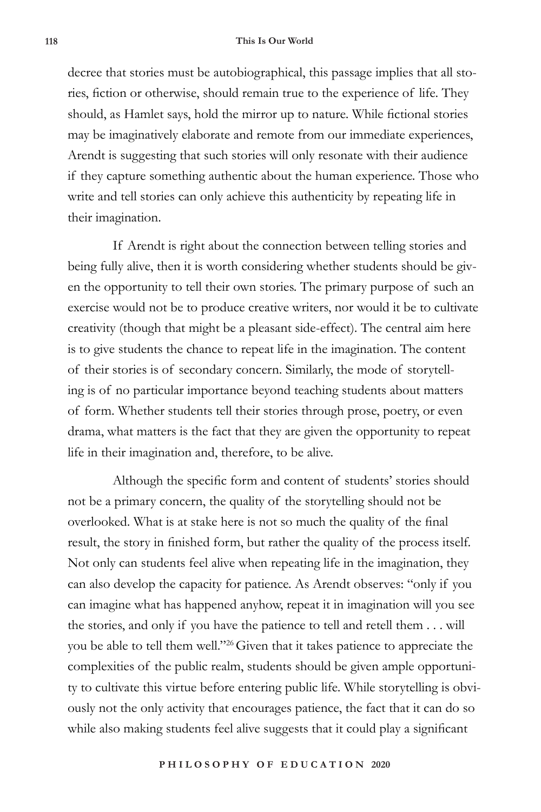#### **118 This Is Our World**

decree that stories must be autobiographical, this passage implies that all stories, fiction or otherwise, should remain true to the experience of life. They should, as Hamlet says, hold the mirror up to nature. While fictional stories may be imaginatively elaborate and remote from our immediate experiences, Arendt is suggesting that such stories will only resonate with their audience if they capture something authentic about the human experience. Those who write and tell stories can only achieve this authenticity by repeating life in their imagination.

If Arendt is right about the connection between telling stories and being fully alive, then it is worth considering whether students should be given the opportunity to tell their own stories. The primary purpose of such an exercise would not be to produce creative writers, nor would it be to cultivate creativity (though that might be a pleasant side-effect). The central aim here is to give students the chance to repeat life in the imagination. The content of their stories is of secondary concern. Similarly, the mode of storytelling is of no particular importance beyond teaching students about matters of form. Whether students tell their stories through prose, poetry, or even drama, what matters is the fact that they are given the opportunity to repeat life in their imagination and, therefore, to be alive.

Although the specific form and content of students' stories should not be a primary concern, the quality of the storytelling should not be overlooked. What is at stake here is not so much the quality of the final result, the story in finished form, but rather the quality of the process itself. Not only can students feel alive when repeating life in the imagination, they can also develop the capacity for patience. As Arendt observes: "only if you can imagine what has happened anyhow, repeat it in imagination will you see the stories, and only if you have the patience to tell and retell them . . . will you be able to tell them well."26Given that it takes patience to appreciate the complexities of the public realm, students should be given ample opportunity to cultivate this virtue before entering public life. While storytelling is obviously not the only activity that encourages patience, the fact that it can do so while also making students feel alive suggests that it could play a significant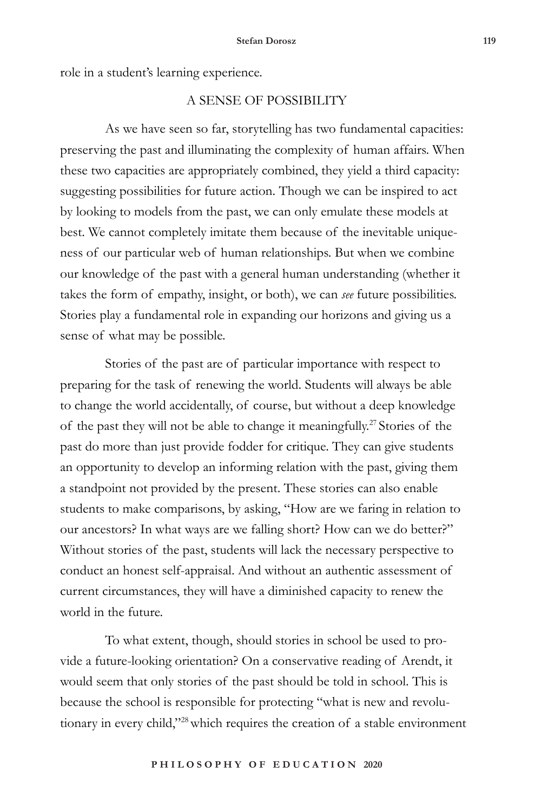role in a student's learning experience.

## A SENSE OF POSSIBILITY

As we have seen so far, storytelling has two fundamental capacities: preserving the past and illuminating the complexity of human affairs. When these two capacities are appropriately combined, they yield a third capacity: suggesting possibilities for future action. Though we can be inspired to act by looking to models from the past, we can only emulate these models at best. We cannot completely imitate them because of the inevitable uniqueness of our particular web of human relationships. But when we combine our knowledge of the past with a general human understanding (whether it takes the form of empathy, insight, or both), we can *see* future possibilities. Stories play a fundamental role in expanding our horizons and giving us a sense of what may be possible.

Stories of the past are of particular importance with respect to preparing for the task of renewing the world. Students will always be able to change the world accidentally, of course, but without a deep knowledge of the past they will not be able to change it meaningfully.<sup>27</sup> Stories of the past do more than just provide fodder for critique. They can give students an opportunity to develop an informing relation with the past, giving them a standpoint not provided by the present. These stories can also enable students to make comparisons, by asking, "How are we faring in relation to our ancestors? In what ways are we falling short? How can we do better?" Without stories of the past, students will lack the necessary perspective to conduct an honest self-appraisal. And without an authentic assessment of current circumstances, they will have a diminished capacity to renew the world in the future.

To what extent, though, should stories in school be used to provide a future-looking orientation? On a conservative reading of Arendt, it would seem that only stories of the past should be told in school. This is because the school is responsible for protecting "what is new and revolutionary in every child,"<sup>28</sup> which requires the creation of a stable environment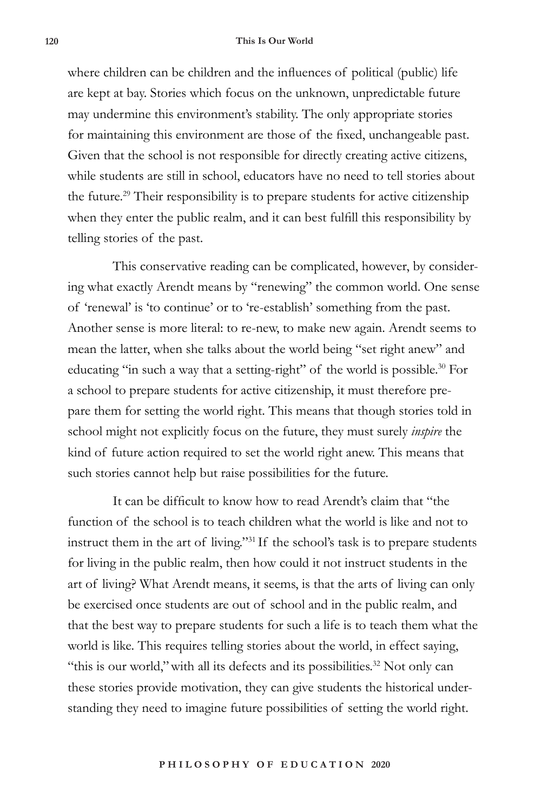#### **120 This Is Our World**

where children can be children and the influences of political (public) life are kept at bay. Stories which focus on the unknown, unpredictable future may undermine this environment's stability. The only appropriate stories for maintaining this environment are those of the fixed, unchangeable past. Given that the school is not responsible for directly creating active citizens, while students are still in school, educators have no need to tell stories about the future.29 Their responsibility is to prepare students for active citizenship when they enter the public realm, and it can best fulfill this responsibility by telling stories of the past.

This conservative reading can be complicated, however, by considering what exactly Arendt means by "renewing" the common world. One sense of 'renewal' is 'to continue' or to 're-establish' something from the past. Another sense is more literal: to re-new, to make new again. Arendt seems to mean the latter, when she talks about the world being "set right anew" and educating "in such a way that a setting-right" of the world is possible.<sup>30</sup> For a school to prepare students for active citizenship, it must therefore prepare them for setting the world right. This means that though stories told in school might not explicitly focus on the future, they must surely *inspire* the kind of future action required to set the world right anew. This means that such stories cannot help but raise possibilities for the future.

It can be difficult to know how to read Arendt's claim that "the function of the school is to teach children what the world is like and not to instruct them in the art of living."31 If the school's task is to prepare students for living in the public realm, then how could it not instruct students in the art of living? What Arendt means, it seems, is that the arts of living can only be exercised once students are out of school and in the public realm, and that the best way to prepare students for such a life is to teach them what the world is like. This requires telling stories about the world, in effect saying, "this is our world," with all its defects and its possibilities.<sup>32</sup> Not only can these stories provide motivation, they can give students the historical understanding they need to imagine future possibilities of setting the world right.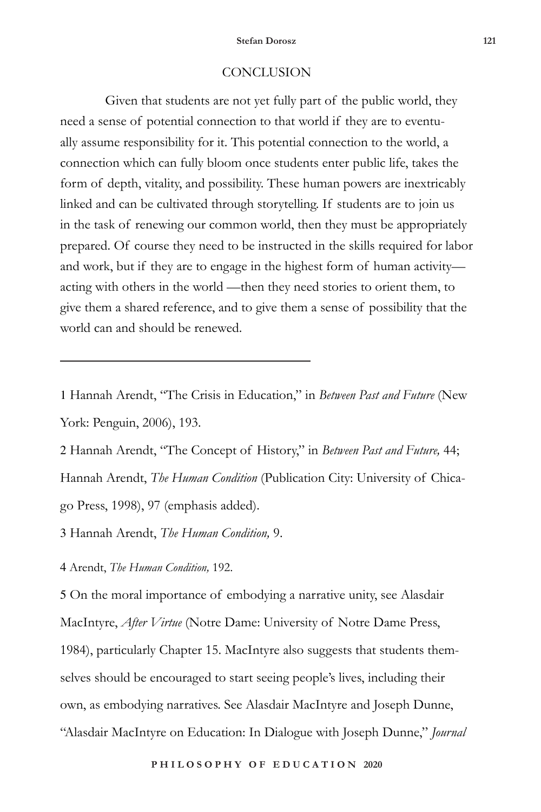### **CONCLUSION**

Given that students are not yet fully part of the public world, they need a sense of potential connection to that world if they are to eventually assume responsibility for it. This potential connection to the world, a connection which can fully bloom once students enter public life, takes the form of depth, vitality, and possibility. These human powers are inextricably linked and can be cultivated through storytelling. If students are to join us in the task of renewing our common world, then they must be appropriately prepared. Of course they need to be instructed in the skills required for labor and work, but if they are to engage in the highest form of human activity acting with others in the world —then they need stories to orient them, to give them a shared reference, and to give them a sense of possibility that the world can and should be renewed.

1 Hannah Arendt, "The Crisis in Education," in *Between Past and Future* (New York: Penguin, 2006), 193.

2 Hannah Arendt, "The Concept of History," in *Between Past and Future,* 44; Hannah Arendt, *The Human Condition* (Publication City: University of Chicago Press, 1998), 97 (emphasis added).

3 Hannah Arendt, *The Human Condition,* 9.

4 Arendt, *The Human Condition,* 192.

5 On the moral importance of embodying a narrative unity, see Alasdair MacIntyre, *After Virtue* (Notre Dame: University of Notre Dame Press, 1984), particularly Chapter 15. MacIntyre also suggests that students themselves should be encouraged to start seeing people's lives, including their own, as embodying narratives. See Alasdair MacIntyre and Joseph Dunne, "Alasdair MacIntyre on Education: In Dialogue with Joseph Dunne," *Journal*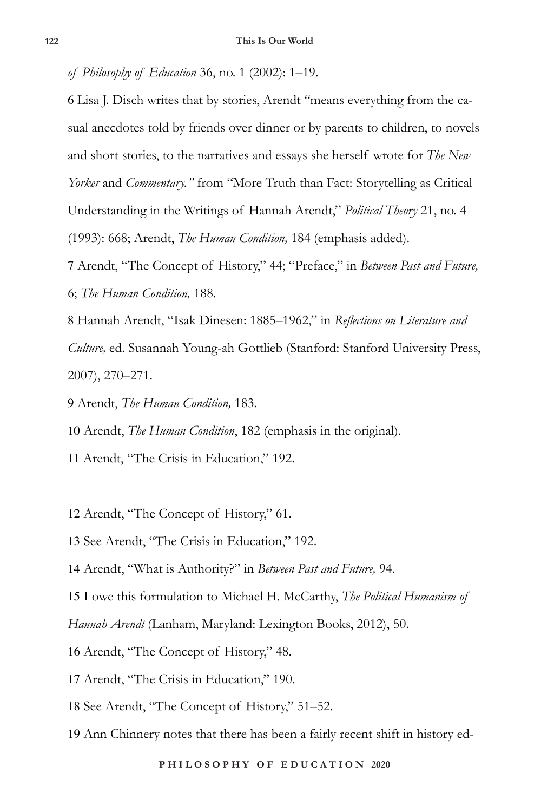*of Philosophy of Education* 36, no. 1 (2002): 1–19.

6 Lisa J. Disch writes that by stories, Arendt "means everything from the casual anecdotes told by friends over dinner or by parents to children, to novels and short stories, to the narratives and essays she herself wrote for *The New Yorker* and *Commentary."* from "More Truth than Fact: Storytelling as Critical Understanding in the Writings of Hannah Arendt," *Political Theory* 21, no. 4 (1993): 668; Arendt, *The Human Condition,* 184 (emphasis added).

7 Arendt, "The Concept of History," 44; "Preface," in *Between Past and Future,*  6; *The Human Condition,* 188.

8 Hannah Arendt, "Isak Dinesen: 1885–1962," in *Reflections on Literature and Culture,* ed. Susannah Young-ah Gottlieb (Stanford: Stanford University Press, 2007), 270–271.

9 Arendt, *The Human Condition,* 183.

10 Arendt, *The Human Condition*, 182 (emphasis in the original).

11 Arendt, "The Crisis in Education," 192.

12 Arendt, "The Concept of History," 61.

13 See Arendt, "The Crisis in Education," 192.

14 Arendt, "What is Authority?" in *Between Past and Future,* 94.

15 I owe this formulation to Michael H. McCarthy, *The Political Humanism of* 

*Hannah Arendt* (Lanham, Maryland: Lexington Books, 2012), 50.

16 Arendt, "The Concept of History," 48.

17 Arendt, "The Crisis in Education," 190.

18 See Arendt, "The Concept of History," 51–52.

19 Ann Chinnery notes that there has been a fairly recent shift in history ed-